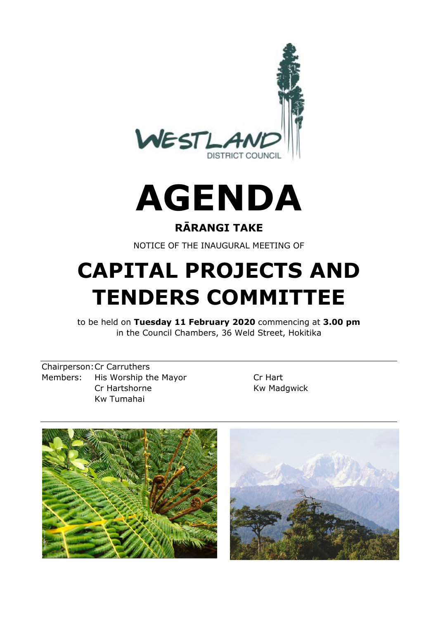

# **AGENDA**

# **RĀRANGI TAKE**

NOTICE OF THE INAUGURAL MEETING OF

# **CAPITAL PROJECTS AND TENDERS COMMITTEE**

to be held on **Tuesday 11 February 2020** commencing at **3.00 pm** in the Council Chambers, 36 Weld Street, Hokitika

Chairperson:Cr Carruthers Members: His Worship the Mayor Cr Hart Cr Hartshorne Kw Madgwick Kw Tumahai

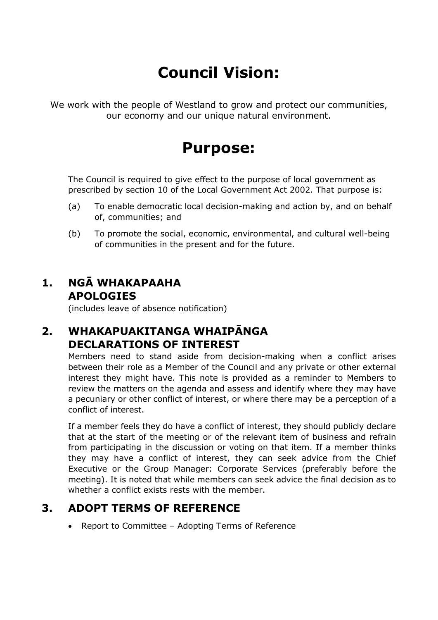# **Council Vision:**

We work with the people of Westland to grow and protect our communities, our economy and our unique natural environment.

# **Purpose:**

The Council is required to give effect to the purpose of local government as prescribed by section 10 of the Local Government Act 2002. That purpose is:

- (a) To enable democratic local decision-making and action by, and on behalf of, communities; and
- (b) To promote the social, economic, environmental, and cultural well-being of communities in the present and for the future.

#### **1. NGĀ WHAKAPAAHA APOLOGIES**

(includes leave of absence notification)

# **2. WHAKAPUAKITANGA WHAIPĀNGA DECLARATIONS OF INTEREST**

Members need to stand aside from decision-making when a conflict arises between their role as a Member of the Council and any private or other external interest they might have. This note is provided as a reminder to Members to review the matters on the agenda and assess and identify where they may have a pecuniary or other conflict of interest, or where there may be a perception of a conflict of interest.

If a member feels they do have a conflict of interest, they should publicly declare that at the start of the meeting or of the relevant item of business and refrain from participating in the discussion or voting on that item. If a member thinks they may have a conflict of interest, they can seek advice from the Chief Executive or the Group Manager: Corporate Services (preferably before the meeting). It is noted that while members can seek advice the final decision as to whether a conflict exists rests with the member.

## **3. ADOPT TERMS OF REFERENCE**

• Report to Committee - Adopting Terms of Reference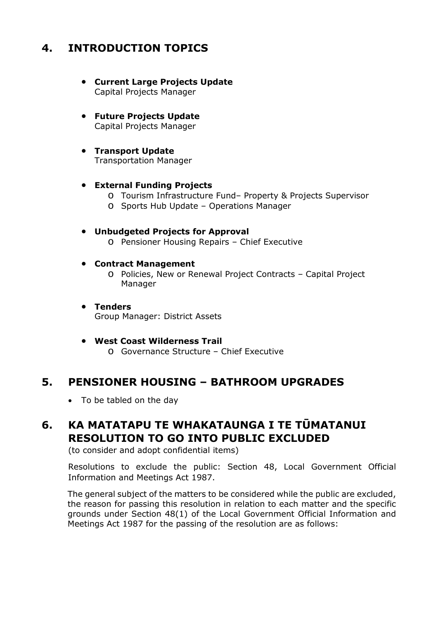# **4. INTRODUCTION TOPICS**

- **Current Large Projects Update** Capital Projects Manager
- **Future Projects Update** Capital Projects Manager
- **Transport Update** Transportation Manager

#### **External Funding Projects**

- o Tourism Infrastructure Fund– Property & Projects Supervisor
- o Sports Hub Update Operations Manager

#### **Unbudgeted Projects for Approval** o Pensioner Housing Repairs – Chief Executive

#### **Contract Management**

- o Policies, New or Renewal Project Contracts Capital Project Manager
- **Tenders** Group Manager: District Assets
- **West Coast Wilderness Trail**
	- o Governance Structure Chief Executive

#### **5. PENSIONER HOUSING – BATHROOM UPGRADES**

• To be tabled on the day

# **6. KA MATATAPU TE WHAKATAUNGA I TE TŪMATANUI RESOLUTION TO GO INTO PUBLIC EXCLUDED**

(to consider and adopt confidential items)

Resolutions to exclude the public: Section 48, Local Government Official Information and Meetings Act 1987.

The general subject of the matters to be considered while the public are excluded, the reason for passing this resolution in relation to each matter and the specific grounds under Section 48(1) of the Local Government Official Information and Meetings Act 1987 for the passing of the resolution are as follows: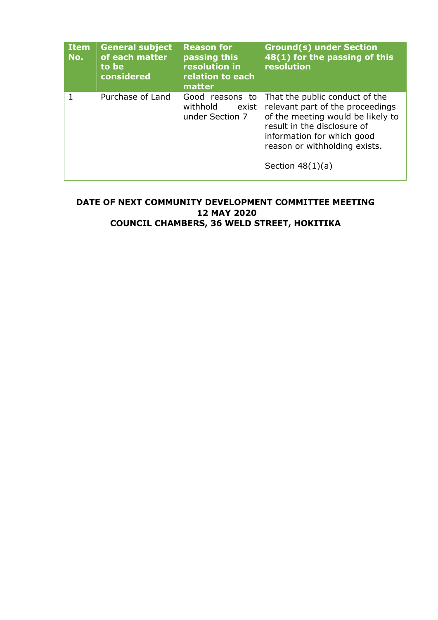| <b>Item</b><br>No. | <b>General subject</b><br>of each matter<br>to be<br>considered | <b>Reason for</b><br>passing this<br>resolution in<br>relation to each<br>matter | <b>Ground(s) under Section</b><br>48(1) for the passing of this<br>resolution                                                                                                                                               |
|--------------------|-----------------------------------------------------------------|----------------------------------------------------------------------------------|-----------------------------------------------------------------------------------------------------------------------------------------------------------------------------------------------------------------------------|
| 1                  | Purchase of Land                                                | Good reasons to<br>withhold<br>exist<br>under Section 7                          | That the public conduct of the<br>relevant part of the proceedings<br>of the meeting would be likely to<br>result in the disclosure of<br>information for which good<br>reason or withholding exists.<br>Section $48(1)(a)$ |

#### **DATE OF NEXT COMMUNITY DEVELOPMENT COMMITTEE MEETING 12 MAY 2020 COUNCIL CHAMBERS, 36 WELD STREET, HOKITIKA**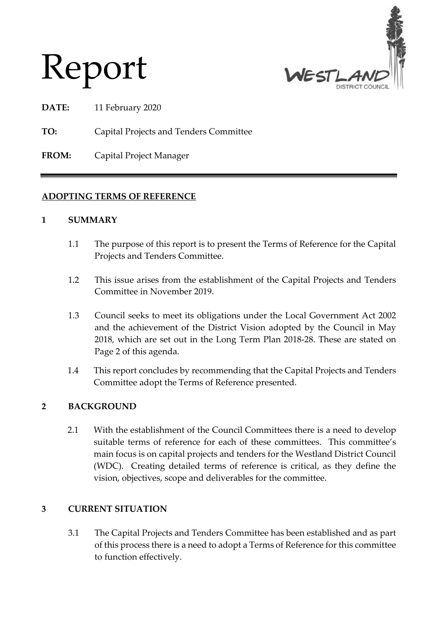

**DATE:** 11 February 2020

Report

**TO:** Capital Projects and Tenders Committee

**FROM:** Capital Project Manager

#### **ADOPTING TERMS OF REFERENCE**

#### **1 SUMMARY**

- 1.1 The purpose of this report is to present the Terms of Reference for the Capital Projects and Tenders Committee.
- 1.2 This issue arises from the establishment of the Capital Projects and Tenders Committee in November 2019.
- 1.3 Council seeks to meet its obligations under the Local Government Act 2002 and the achievement of the District Vision adopted by the Council in May 2018, which are set out in the Long Term Plan 2018-28. These are stated on Page 2 of this agenda.
- 1.4 This report concludes by recommending that the Capital Projects and Tenders Committee adopt the Terms of Reference presented.

#### **2 BACKGROUND**

2.1 With the establishment of the Council Committees there is a need to develop suitable terms of reference for each of these committees. This committee's main focus is on capital projects and tenders for the Westland District Council (WDC). Creating detailed terms of reference is critical, as they define the vision, objectives, scope and deliverables for the committee.

#### **3 CURRENT SITUATION**

3.1 The Capital Projects and Tenders Committee has been established and as part of this process there is a need to adopt a Terms of Reference for this committee to function effectively.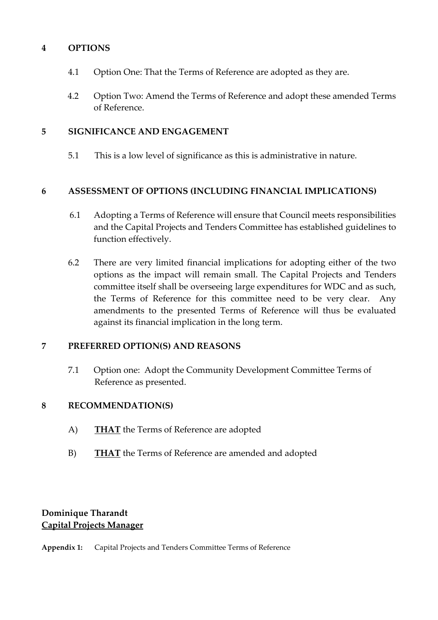#### **4 OPTIONS**

- 4.1 Option One: That the Terms of Reference are adopted as they are.
- 4.2 Option Two: Amend the Terms of Reference and adopt these amended Terms of Reference.

#### **5 SIGNIFICANCE AND ENGAGEMENT**

5.1 This is a low level of significance as this is administrative in nature.

#### **6 ASSESSMENT OF OPTIONS (INCLUDING FINANCIAL IMPLICATIONS)**

- 6.1 Adopting a Terms of Reference will ensure that Council meets responsibilities and the Capital Projects and Tenders Committee has established guidelines to function effectively.
- 6.2 There are very limited financial implications for adopting either of the two options as the impact will remain small. The Capital Projects and Tenders committee itself shall be overseeing large expenditures for WDC and as such, the Terms of Reference for this committee need to be very clear. Any amendments to the presented Terms of Reference will thus be evaluated against its financial implication in the long term.

#### **7 PREFERRED OPTION(S) AND REASONS**

7.1 Option one: Adopt the Community Development Committee Terms of Reference as presented.

#### **8 RECOMMENDATION(S)**

- A) **THAT** the Terms of Reference are adopted
- B) **THAT** the Terms of Reference are amended and adopted

#### **Dominique Tharandt Capital Projects Manager**

**Appendix 1:** Capital Projects and Tenders Committee Terms of Reference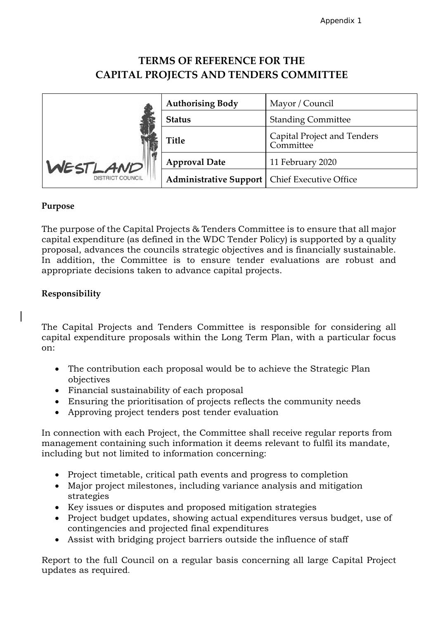### **TERMS OF REFERENCE FOR THE CAPITAL PROJECTS AND TENDERS COMMITTEE**

|                         | <b>Authorising Body</b>                         | Mayor / Council                          |
|-------------------------|-------------------------------------------------|------------------------------------------|
|                         | <b>Status</b>                                   | <b>Standing Committee</b>                |
|                         | <b>Title</b>                                    | Capital Project and Tenders<br>Committee |
| WESTLAND                | <b>Approval Date</b>                            | 11 February 2020                         |
| <b>DISTRICT COUNCIL</b> | Administrative Support   Chief Executive Office |                                          |

#### **Purpose**

The purpose of the Capital Projects & Tenders Committee is to ensure that all major capital expenditure (as defined in the WDC Tender Policy) is supported by a quality proposal, advances the councils strategic objectives and is financially sustainable. In addition, the Committee is to ensure tender evaluations are robust and appropriate decisions taken to advance capital projects.

#### **Responsibility**

The Capital Projects and Tenders Committee is responsible for considering all capital expenditure proposals within the Long Term Plan, with a particular focus on:

- The contribution each proposal would be to achieve the Strategic Plan objectives
- Financial sustainability of each proposal
- Ensuring the prioritisation of projects reflects the community needs
- Approving project tenders post tender evaluation

In connection with each Project, the Committee shall receive regular reports from management containing such information it deems relevant to fulfil its mandate, including but not limited to information concerning:

- Project timetable, critical path events and progress to completion
- Major project milestones, including variance analysis and mitigation strategies
- Key issues or disputes and proposed mitigation strategies
- Project budget updates, showing actual expenditures versus budget, use of contingencies and projected final expenditures
- Assist with bridging project barriers outside the influence of staff

Report to the full Council on a regular basis concerning all large Capital Project updates as required.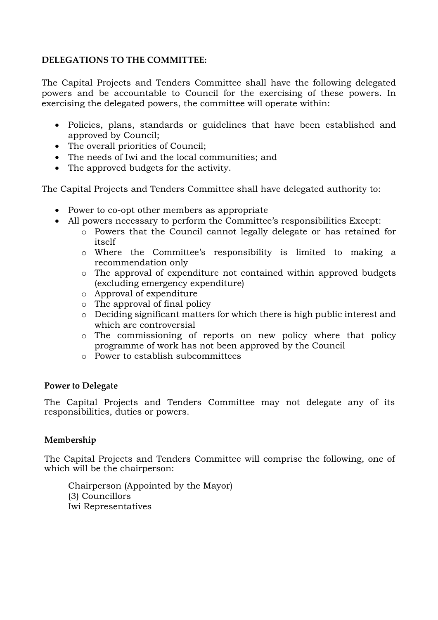#### **DELEGATIONS TO THE COMMITTEE:**

The Capital Projects and Tenders Committee shall have the following delegated powers and be accountable to Council for the exercising of these powers. In exercising the delegated powers, the committee will operate within:

- Policies, plans, standards or guidelines that have been established and approved by Council;
- The overall priorities of Council;
- The needs of Iwi and the local communities; and
- The approved budgets for the activity.

The Capital Projects and Tenders Committee shall have delegated authority to:

- Power to co-opt other members as appropriate
- All powers necessary to perform the Committee's responsibilities Except:
	- o Powers that the Council cannot legally delegate or has retained for itself
	- o Where the Committee's responsibility is limited to making a recommendation only
	- o The approval of expenditure not contained within approved budgets (excluding emergency expenditure)
	- o Approval of expenditure
	- o The approval of final policy
	- o Deciding significant matters for which there is high public interest and which are controversial
	- o The commissioning of reports on new policy where that policy programme of work has not been approved by the Council
	- o Power to establish subcommittees

#### **Power to Delegate**

The Capital Projects and Tenders Committee may not delegate any of its responsibilities, duties or powers.

#### **Membership**

The Capital Projects and Tenders Committee will comprise the following, one of which will be the chairperson:

Chairperson (Appointed by the Mayor) (3) Councillors Iwi Representatives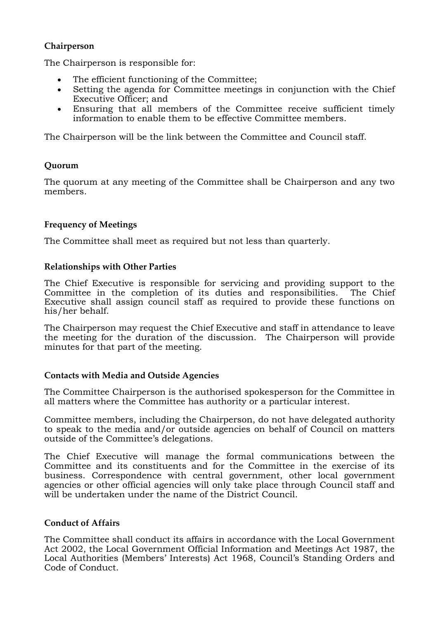#### **Chairperson**

The Chairperson is responsible for:

- The efficient functioning of the Committee;
- Setting the agenda for Committee meetings in conjunction with the Chief Executive Officer; and
- Ensuring that all members of the Committee receive sufficient timely information to enable them to be effective Committee members.

The Chairperson will be the link between the Committee and Council staff.

#### **Quorum**

The quorum at any meeting of the Committee shall be Chairperson and any two members.

#### **Frequency of Meetings**

The Committee shall meet as required but not less than quarterly.

#### **Relationships with Other Parties**

The Chief Executive is responsible for servicing and providing support to the Committee in the completion of its duties and responsibilities. The Chief Executive shall assign council staff as required to provide these functions on his/her behalf.

The Chairperson may request the Chief Executive and staff in attendance to leave the meeting for the duration of the discussion. The Chairperson will provide minutes for that part of the meeting.

#### **Contacts with Media and Outside Agencies**

The Committee Chairperson is the authorised spokesperson for the Committee in all matters where the Committee has authority or a particular interest.

Committee members, including the Chairperson, do not have delegated authority to speak to the media and/or outside agencies on behalf of Council on matters outside of the Committee's delegations.

The Chief Executive will manage the formal communications between the Committee and its constituents and for the Committee in the exercise of its business. Correspondence with central government, other local government agencies or other official agencies will only take place through Council staff and will be undertaken under the name of the District Council.

#### **Conduct of Affairs**

The Committee shall conduct its affairs in accordance with the Local Government Act 2002, the Local Government Official Information and Meetings Act 1987, the Local Authorities (Members' Interests) Act 1968, Council's Standing Orders and Code of Conduct.